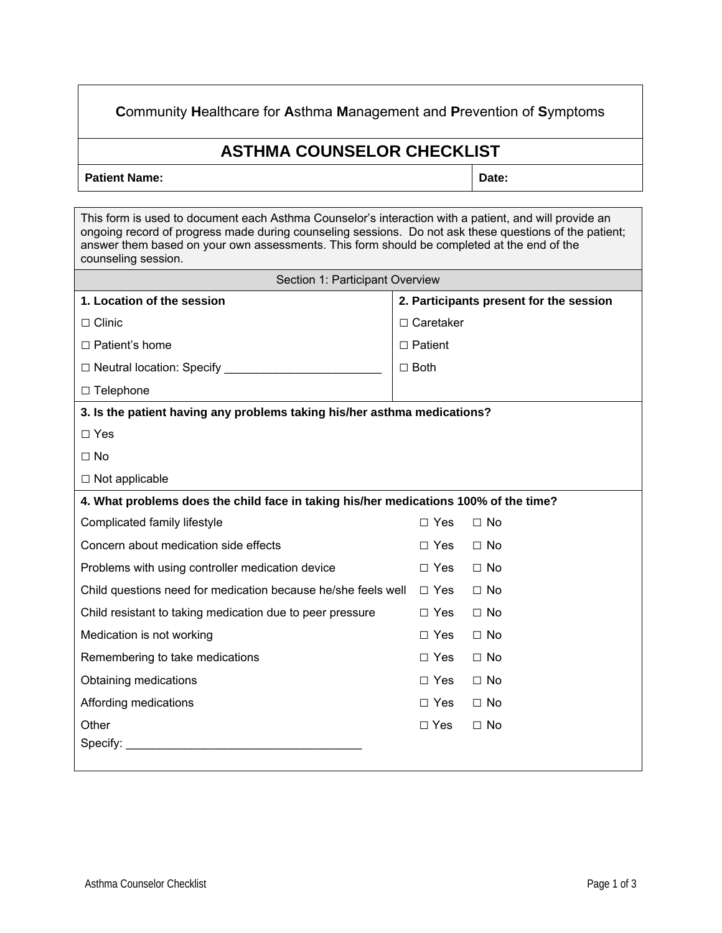## **C**ommunity **H**ealthcare for **A**sthma **M**anagement and **P**revention of **S**ymptoms

## **ASTHMA COUNSELOR CHECKLIST**

Patient Name: **Date: Date: Date: Date: Date: Date: Date: Date: Date: Date: Date: Date: Date: Date: Date: Date: Date: Date: Date: Date: Date: Date: Date: Date: Date: Date:**

| This form is used to document each Asthma Counselor's interaction with a patient, and will provide an                                                                                                                       |                                         |              |  |  |  |  |  |
|-----------------------------------------------------------------------------------------------------------------------------------------------------------------------------------------------------------------------------|-----------------------------------------|--------------|--|--|--|--|--|
| ongoing record of progress made during counseling sessions. Do not ask these questions of the patient;<br>answer them based on your own assessments. This form should be completed at the end of the<br>counseling session. |                                         |              |  |  |  |  |  |
| Section 1: Participant Overview                                                                                                                                                                                             |                                         |              |  |  |  |  |  |
| 1. Location of the session                                                                                                                                                                                                  | 2. Participants present for the session |              |  |  |  |  |  |
| $\Box$ Clinic                                                                                                                                                                                                               | $\Box$ Caretaker                        |              |  |  |  |  |  |
| $\Box$ Patient's home                                                                                                                                                                                                       | $\Box$ Patient                          |              |  |  |  |  |  |
|                                                                                                                                                                                                                             | $\Box$ Both                             |              |  |  |  |  |  |
| $\Box$ Telephone                                                                                                                                                                                                            |                                         |              |  |  |  |  |  |
| 3. Is the patient having any problems taking his/her asthma medications?                                                                                                                                                    |                                         |              |  |  |  |  |  |
| $\Box$ Yes                                                                                                                                                                                                                  |                                         |              |  |  |  |  |  |
| $\Box$ No                                                                                                                                                                                                                   |                                         |              |  |  |  |  |  |
| $\Box$ Not applicable                                                                                                                                                                                                       |                                         |              |  |  |  |  |  |
| 4. What problems does the child face in taking his/her medications 100% of the time?                                                                                                                                        |                                         |              |  |  |  |  |  |
| Complicated family lifestyle                                                                                                                                                                                                | $\Box$ Yes                              | $\Box$ No    |  |  |  |  |  |
| Concern about medication side effects                                                                                                                                                                                       | $\Box$ Yes                              | $\Box$ No    |  |  |  |  |  |
| Problems with using controller medication device                                                                                                                                                                            | $\Box$ Yes                              | $\Box$ No    |  |  |  |  |  |
| Child questions need for medication because he/she feels well                                                                                                                                                               | $\Box$ Yes                              | $\Box$ No    |  |  |  |  |  |
| Child resistant to taking medication due to peer pressure                                                                                                                                                                   | $\Box$ Yes                              | $\Box$ No    |  |  |  |  |  |
| Medication is not working                                                                                                                                                                                                   | $\Box$ Yes                              | $\Box$ No    |  |  |  |  |  |
| Remembering to take medications                                                                                                                                                                                             | $\Box$ Yes                              | $\Box$ No    |  |  |  |  |  |
| Obtaining medications                                                                                                                                                                                                       | $\Box$ Yes                              | $\Box$ No    |  |  |  |  |  |
| Affording medications                                                                                                                                                                                                       | $\Box$ Yes                              | $\square$ No |  |  |  |  |  |
| Other                                                                                                                                                                                                                       | $\Box$ Yes                              | $\Box$ No    |  |  |  |  |  |
| Specify:                                                                                                                                                                                                                    |                                         |              |  |  |  |  |  |
|                                                                                                                                                                                                                             |                                         |              |  |  |  |  |  |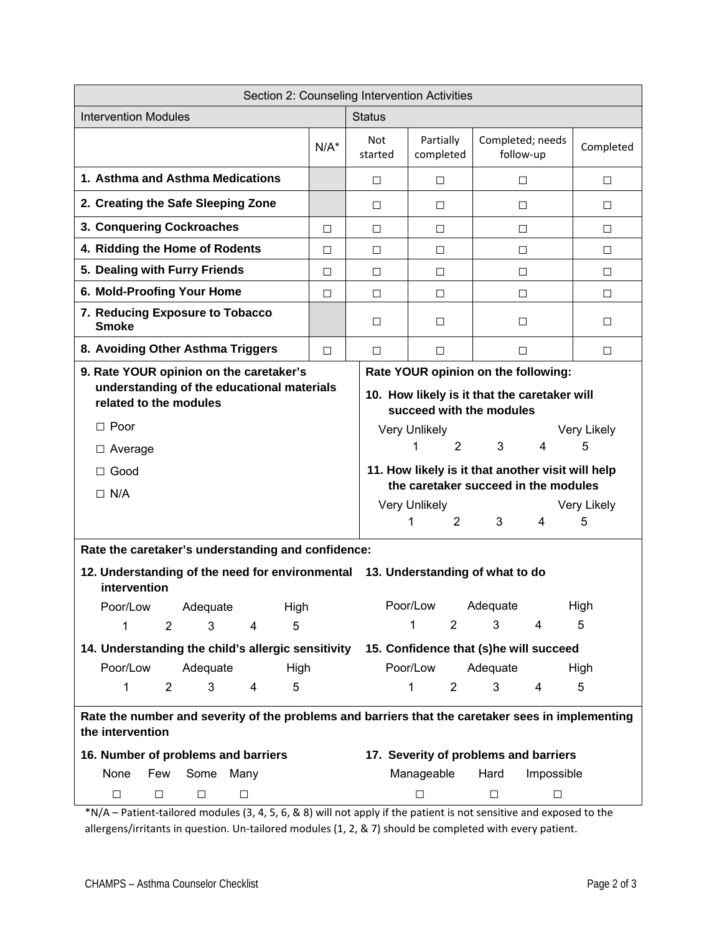| Section 2: Counseling Intervention Activities                                                                         |               |                                                                          |                                       |                               |                |                  |  |
|-----------------------------------------------------------------------------------------------------------------------|---------------|--------------------------------------------------------------------------|---------------------------------------|-------------------------------|----------------|------------------|--|
| <b>Intervention Modules</b>                                                                                           | <b>Status</b> |                                                                          |                                       |                               |                |                  |  |
|                                                                                                                       | $N/A^*$       | <b>Not</b><br>started                                                    | Partially<br>completed                | Completed; needs<br>follow-up |                | Completed        |  |
| 1. Asthma and Asthma Medications                                                                                      |               | $\Box$                                                                   | $\Box$                                | $\Box$                        |                | $\Box$           |  |
| 2. Creating the Safe Sleeping Zone                                                                                    |               | $\Box$<br>□<br>$\Box$                                                    |                                       | □                             |                |                  |  |
| 3. Conquering Cockroaches                                                                                             | $\Box$        | $\Box$                                                                   | $\Box$                                | □                             |                | □                |  |
| 4. Ridding the Home of Rodents                                                                                        | $\Box$        | $\Box$                                                                   | $\Box$                                | □                             |                | □                |  |
| 5. Dealing with Furry Friends                                                                                         | $\Box$        | $\Box$                                                                   | $\Box$                                | $\Box$                        |                | □                |  |
| 6. Mold-Proofing Your Home                                                                                            | П             | $\Box$                                                                   | $\Box$                                | $\Box$                        |                | $\Box$           |  |
| 7. Reducing Exposure to Tobacco<br><b>Smoke</b>                                                                       |               | $\Box$                                                                   | □                                     | $\Box$                        |                | □                |  |
| 8. Avoiding Other Asthma Triggers                                                                                     | $\Box$        | $\Box$                                                                   | $\Box$                                | $\Box$                        |                | $\Box$           |  |
| 9. Rate YOUR opinion on the caretaker's<br>Rate YOUR opinion on the following:                                        |               |                                                                          |                                       |                               |                |                  |  |
| understanding of the educational materials<br>related to the modules                                                  |               | 10. How likely is it that the caretaker will<br>succeed with the modules |                                       |                               |                |                  |  |
| $\Box$ Poor                                                                                                           |               |                                                                          | <b>Very Unlikely</b>                  |                               |                | Very Likely      |  |
| $\Box$ Average                                                                                                        |               |                                                                          | 2<br>1                                | 3                             | 4              | 5                |  |
| 11. How likely is it that another visit will help<br>$\Box$ Good                                                      |               |                                                                          |                                       |                               |                |                  |  |
| $\Box$ N/A                                                                                                            |               | the caretaker succeed in the modules                                     |                                       |                               |                |                  |  |
|                                                                                                                       |               |                                                                          | Very Unlikely<br>1<br>$\overline{2}$  | 3                             | $\overline{4}$ | Very Likely<br>5 |  |
|                                                                                                                       |               |                                                                          |                                       |                               |                |                  |  |
| Rate the caretaker's understanding and confidence:                                                                    |               |                                                                          |                                       |                               |                |                  |  |
| 12. Understanding of the need for environmental 13. Understanding of what to do<br>intervention                       |               |                                                                          |                                       |                               |                |                  |  |
| Poor/Low<br>Adequate<br>High                                                                                          |               | Poor/Low<br>Adequate<br>High                                             |                                       |                               |                |                  |  |
| 1<br>3<br>5<br>$\overline{2}$<br>4                                                                                    |               |                                                                          | 1<br>$\overline{2}$                   | 3                             | 4              | 5                |  |
| 14. Understanding the child's allergic sensitivity 15. Confidence that (s)he will succeed                             |               |                                                                          |                                       |                               |                |                  |  |
| Poor/Low<br>Adequate<br>High                                                                                          |               |                                                                          | Poor/Low                              | Adequate                      |                | High             |  |
| 1<br>3<br>5<br>$\overline{2}$<br>4                                                                                    |               |                                                                          | 1<br>$\overline{c}$                   | 3                             | 4              | 5                |  |
| Rate the number and severity of the problems and barriers that the caretaker sees in implementing<br>the intervention |               |                                                                          |                                       |                               |                |                  |  |
| 16. Number of problems and barriers                                                                                   |               |                                                                          | 17. Severity of problems and barriers |                               |                |                  |  |
| None<br>Some<br>Many<br>Few                                                                                           |               |                                                                          | Manageable<br>Hard<br>Impossible      |                               |                |                  |  |
| □<br>□<br>$\Box$<br>□                                                                                                 |               |                                                                          | $\Box$                                | $\Box$                        | $\Box$         |                  |  |
| *N/A – Patient-tailored modules (3, 4, 5, 6, & 8) will not apply if the patient is not sensitive and exposed to the   |               |                                                                          |                                       |                               |                |                  |  |

allergens/irritants in question. Un-tailored modules (1, 2, & 7) should be completed with every patient.